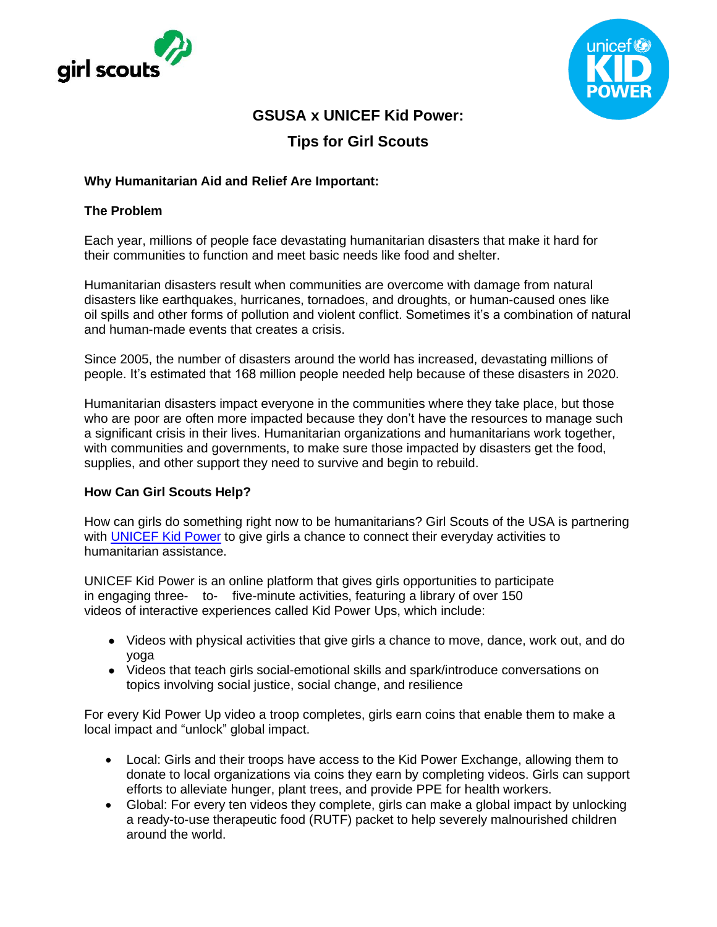



# **GSUSA x UNICEF Kid Power:**

# **Tips for Girl Scouts**

## **Why Humanitarian Aid and Relief Are Important:**

#### **The Problem**

Each year, millions of people face devastating humanitarian disasters that make it hard for their communities to function and meet basic needs like food and shelter.

Humanitarian disasters result when communities are overcome with damage from natural disasters like earthquakes, hurricanes, tornadoes, and droughts, or human-caused ones like oil spills and other forms of pollution and violent conflict. Sometimes it's a combination of natural and human-made events that creates a crisis.

Since 2005, the number of disasters around the world has increased, devastating millions of people. It's estimated that 168 million people needed help because of these disasters in 2020.

Humanitarian disasters impact everyone in the communities where they take place, but those who are poor are often more impacted because they don't have the resources to manage such a significant crisis in their lives. Humanitarian organizations and humanitarians work together, with communities and governments, to make sure those impacted by disasters get the food, supplies, and other support they need to survive and begin to rebuild.

## **How Can Girl Scouts Help?**

How can girls do something right now to be humanitarians? Girl Scouts of the USA is partnering with **[UNICEF Kid Power](https://www.unicefkidpower.org/girlscouts)** to give girls a chance to connect their everyday activities to humanitarian assistance.

UNICEF Kid Power is an online platform that gives girls opportunities to participate in engaging three- to- five-minute activities, featuring a library of over 150 videos of interactive experiences called Kid Power Ups, which include:

- Videos with physical activities that give girls a chance to move, dance, work out, and do yoga
- Videos that teach girls social-emotional skills and spark/introduce conversations on topics involving social justice, social change, and resilience

For every Kid Power Up video a troop completes, girls earn coins that enable them to make a local impact and "unlock" global impact.

- Local: Girls and their troops have access to the Kid Power Exchange, allowing them to donate to local organizations via coins they earn by completing videos. Girls can support efforts to alleviate hunger, plant trees, and provide PPE for health workers.
- Global: For every ten videos they complete, girls can make a global impact by unlocking a ready-to-use therapeutic food (RUTF) packet to help severely malnourished children around the world.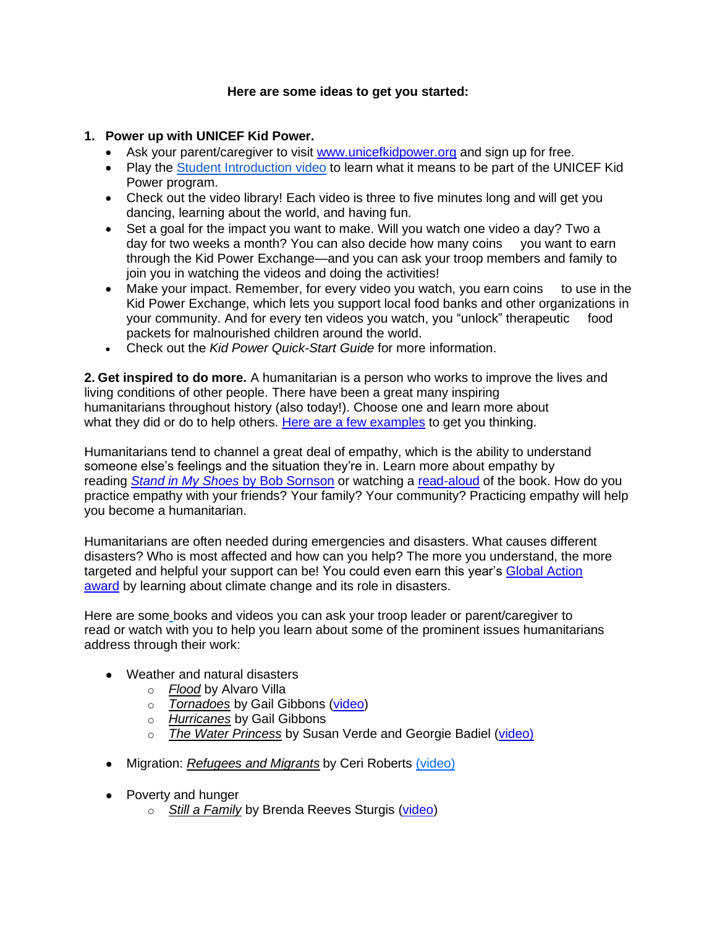### **Here are some ideas to get you started:**

## **1. Power up with UNICEF Kid Power.**

- Ask your parent/caregiver to visit [www.unicefkidpower.org](http://www.unicefkidpower.org/) and sign up for free.
- Play the [Student](https://kpop.ukp.io/register?is_educator=1&cohort=TOT20&view=84&redirect=%2Fdashboard%2Fkpu%2F%3Fwatching%3D84) [Introduction](https://kpop.ukp.io/register?is_educator=1&cohort=TOT20&view=84&redirect=%2Fdashboard%2Fkpu%2F%3Fwatching%3D84) video to learn what it means to be part of the UNICEF Kid Power program.
- Check out the video library! Each video is three to five minutes long and will get you dancing, learning about the world, and having fun.
- Set a goal for the impact you want to make. Will you watch one video a day? Two a day for two weeks a month? You can also decide how many coins you want to earn through the Kid Power Exchange—and you can ask your troop members and family to join you in watching the videos and doing the activities!
- Make your impact. Remember, for every video you watch, you earn coins to use in the Kid Power Exchange, which lets you support local food banks and other organizations in your community. And for every ten videos you watch, you "unlock" therapeutic food packets for malnourished children around the world.
- Check out the *Kid Power Quick-Start Guide* for more information.

**2. Get inspired to do more.** A humanitarian is a person who works to improve the lives and living conditions of other people. There have been a great many inspiring humanitarians throughout history (also today!). Choose one and learn more about what they did or do to help others. [Here are a few examples](https://cmmb.org/world-humanitarian-day-2019-women-humanitarians/) to get you thinking.

Humanitarians tend to channel a great deal of empathy, which is the ability to understand someone else's feelings and the situation they're in. Learn more about empathy by reading *[Stand in](https://www.goodreads.com/en/book/show/17194941-stand-in-my-shoes) My Shoes* by Bob [Sornson](https://www.goodreads.com/en/book/show/17194941-stand-in-my-shoes) or watching a [read-aloud](https://www.youtube.com/watch?v=pS4p-7JVs00) of the book. How do you practice empathy with your friends? Your family? Your community? Practicing empathy will help you become a humanitarian.

Humanitarians are often needed during emergencies and disasters. [What causes different](https://www.ready.gov/kids/disaster-facts)  [disasters?](https://www.ready.gov/kids/disaster-facts) Who is most affected and how can you help? The more you understand, the more targeted and helpful your support can be! You could even earn this year's [Global Action](https://www.girlscouts.org/content/dam/girlscouts-gsusa/forms-and-documents/For-Girls/think-global/GSUSA_Global-Action-Award_2021_DBJ.pdf)  [award](https://www.girlscouts.org/content/dam/girlscouts-gsusa/forms-and-documents/For-Girls/think-global/GSUSA_Global-Action-Award_2021_DBJ.pdf) by learning about climate change and its role in disasters.

Here are some books and videos you can ask your troop leader or parent/caregiver to read or watch with you to help you learn about some of the prominent issues humanitarians address through their work:

- Weather and natural disasters
	- o *Flood* by Alvaro Villa
	- o *Tornadoes* by Gail Gibbons [\(video\)](https://www.youtube.com/watch?v=m2jKHYns7aA)
	- o *Hurricanes* by Gail Gibbons
	- o *The Water Princess* by Susan Verde and Georgie Badiel [\(video\)](https://www.youtube.com/watch?v=UeFl7Y9QtK4)
- Migration: *Refugees and Migrants* by Ceri Roberts [\(video\)](https://www.youtube.com/watch?v=Fn6AbZL6dBE)
- Poverty and hunger
	- o *Still a Family* by Brenda Reeves Sturgis [\(video\)](https://www.youtube.com/watch?v=x_CyWZpr32g)